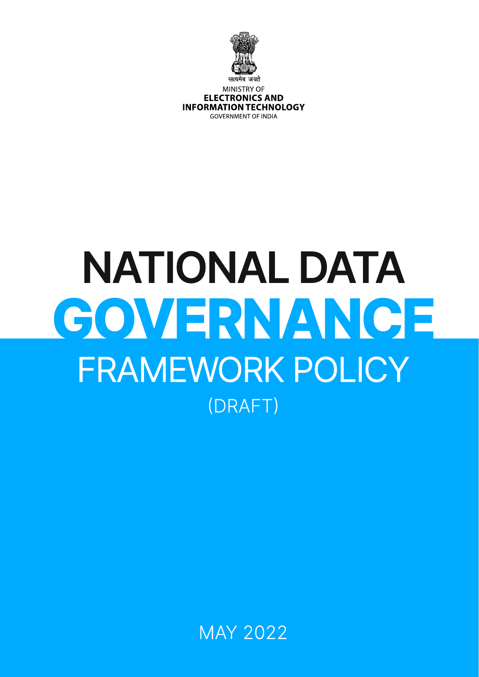

MINISTRY OF **ELECTRONICS AND INFORMATION TECHNOLOGY GOVERNMENT OF INDIA** 

# **NATIONAL DATA** GOVERNANCE **FRAMEWORK POLICY** (DRAFT)

**MAY 2022**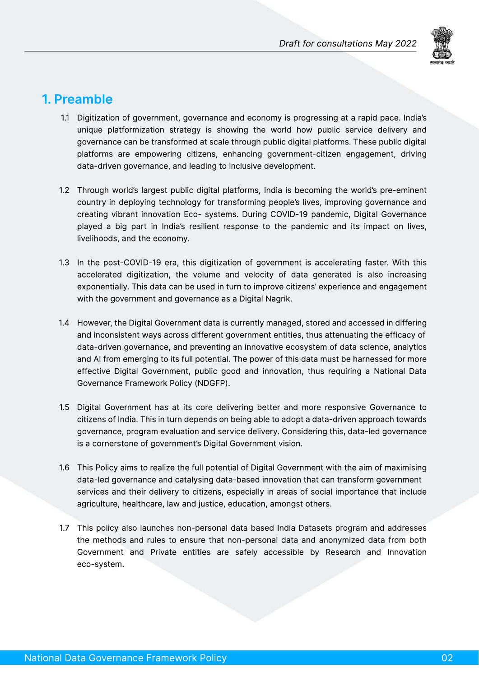

### **1. Preamble 1. Preamble**

- 1.1 Digitization of government, governance and economy is progressing at a rapid pace. India's<br>unique platformization strategy is showing the world how public service delivery and unique platformization strategy is showing the world how public service delivery and governance can be transformed at scale through public digital platforms. These public digital governance can be transformed at scale through public digital platforms. These public digital<br>platforms are empowering citizens, enhancing government-citizen engagement, driving data-driven governance, and leading to inclusive development. data-driven governance, and leading to inclusive development.
- Through world's largest public digital platforms, India is becoming the world's pre-eminent 1.2 1.2 Through world's largest public digital platforms, India is becoming the world's pre-eminent<br>country in deploying technology for transforming people's lives, improving governance and creating vibrant innovation Eco- systems. During COVID-19 pandemic, Digital Governance creating vibrant innovation Eco- systems. During COVID-19 pandemic, Digital Governance<br>played a big part in India's resilient response to the pandemic and its impact on lives, livelihoods, and the economy. livelihoods, and the economy.
- 1.3 In the post-COVID-19 era, this digitization of government is accelerating faster. With this accelerated digitization, the volume and velocity of data generated is also increasing exponentially. This data can be used in turn to improve citizens' experience and engagement with the government and governance as a Digital Nagrik. 1.3 In the post-COVID-19 era, this digitization of government is accelerating faster. With this accelerated digitization, the volume and velocity of data generated is also increasing exponentially. This data can be used in
- 1.4 However, the Digital Government data is currently managed, stored and accessed in differing 1.4 However, the Digital Government data is currently managed, stored and accessed in differing<br>and inconsistent ways across different government entities, thus attenuating the efficacy of data-driven governance, and preventing an innovative ecosystem of data science, analytics data-driven governance, and preventing an innovative ecosystem of data science, analytics<br>and AI from emerging to its full potential. The power of this data must be harnessed for more effective Digital Government, public good and innovation, thus requiring a National Data effective Digital Government, public good and innovation, thus requiring a National Data Governance Framework Policy (NDGFP). Governance Framework Policy (NDGFP).
- 1.5 Digital Government has at its core delivering better and more responsive Governance to<br>citizens of India. This in turn depends on being able to adopt a data-driven approach towards citizens of India. This in turn depends on being able to adopt a data-driven approach towards governance, program evaluation and service delivery. Considering this, data-led governance<br>is a cornerstone of government's Digital Government vision. is a cornerstone of government's Digital Government vision.
- This Policy aims to realize the full potential of Digital Government with the aim of maximising 1.6 1.6 This Policy aims to realize the full potential of Digital Government with the aim of maximising<br>data-led governance and catalysing data-based innovation that can transform government services and their delivery to citizens, especially in areas of social importance that include<br>agriculture, healthcare, law and justice, education, amongst others. agriculture, healthcare, law and justice, education, amongst others.
- This policy also launches non-personal data based India Datasets program and addresses 1.7 the methods and rules to ensure that non-personal data and anonymized data from both Government and Private entities are safely accessible by Research and Innovation eco-system. eco-system. 1.7 This policy also launches non-personal data based India Datasets program and addresses<br>the methods and rules to ensure that non-personal data and anonymized data from both<br>Government and Private entities are safel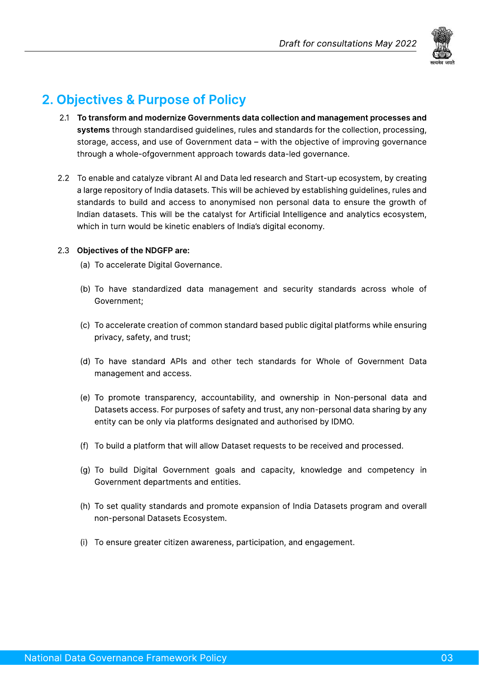

# **2. Objectives & Purpose of Policy 2. Objectives & Purpose of Policy**

- 2.1 **To transform and modernize Governments data collection and management processes and**  2.1 To transform and modernize Governments data collection and management processes and **systems** through standardised guidelines, rules and standards for the collection, processing, systems through standardised guidelines, rules and standards for the collection, processing, storage, access, and use of Government data – with the objective of improving governance<br>through a whole-ofgovernment approach towards data-led governance. through a whole-ofgovernment approach towards data-led governance.
- 2.2 To enable and catalyze vibrant AI and Data led research and Start-up ecosystem, by creating 2.2 To enable and catalyze vibrant Al and Data led research and Start-up ecosystem, by creating a large repository of India datasets. This will be achieved by establishing guidelines, rules and a large repository of India datasets. This will be achieved by establishing guidelines, rules and standards to build and access to anonymised non personal data to ensure the growth of<br>Indian datasets. This will be the catalyst for Artificial Intelligence and analytics ecosystem, Indian datasets. This will be the catalyst for Artificial Intelligence and analytics ecosystem, which in turn would be kinetic enablers of India's digital economy. which in turn would be kinetic enablers of India's digital economy.

#### 2.3 **Objectives of the NDGFP are:** 2.3 Objectives of the **NDGFP** are:

- (a) To accelerate Digital Governance.
- To have standardized data management and security standards across whole of (b) (b) To have standardized data management and security standards across whole of Government; Government;
- To accelerate creation of common standard based public digital platforms while ensuring (c) (c) To accelerate creation of common standard based public digital platforms while ensuring privacy, safety, and trust; privacy, safety, and trust;
- To have standard APIs and other tech standards for Whole of Government Data (d) (d) To have standard APls and other tech standards for Whole of Government Data management and access. management and access.
- To promote transparency, accountability, and ownership in Non-personal data and (e) (e) To promote transparency, accountability, and ownership in Non-personal data and Datasets access. For purposes of safety and trust, any non-personal data sharing by any<br>entity can be only via platforms designated and authorised by IDMO. entity can be only via platforms designated and authorised by IDMO.
- To build a platform that will allow Dataset requests to be received and processed. (f) (f) To build a platform that will allow Dataset requests to be received and processed.
- To build Digital Government goals and capacity, knowledge and competency in (g) (g) To build Digital Government goals and capacity, knowledge and competency in Government departments and entities. Government departments and entities.
- To set quality standards and promote expansion of India Datasets program and overall (h) (h) To set quality standards and promote expansion of India Datasets program and overall non-personal Datasets Ecosystem. non-personal Datasets Ecosystem.
- To ensure greater citizen awareness, participation, and engagement. (i) (i) To ensure greater citizen awareness, participation, and engagement.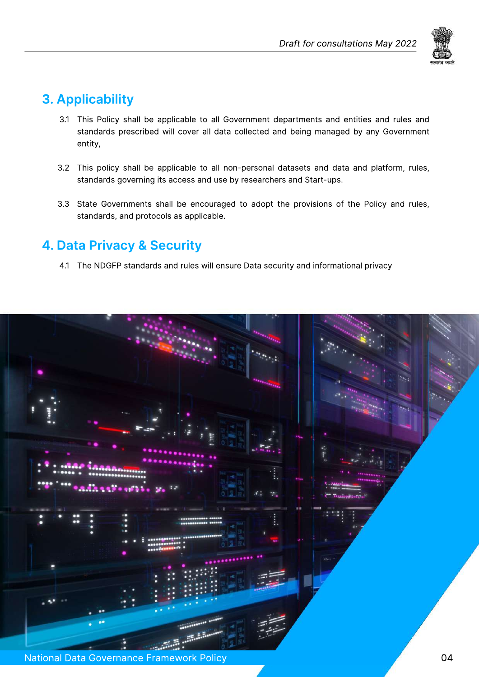

# **3. Applicability 3. Applicability**

- This Policy shall be applicable to all Government departments and entities and rules and 3.1 3.1 This Policy shall be applicable to all Government departments and entities and rules and standards prescribed will cover all data collected and being managed by any Government standards prescribed will cover all data collected and being managed by any Government entity, entity,
- This policy shall be applicable to all non-personal datasets and data and platform, rules, 3.2 3.2 This policy shall be applicable to all non-personal datasets and data and platform, rules, standards governing its access and use by researchers and Start-ups. standards governing its access and use by researchers and Start-ups.
- State Governments shall be encouraged to adopt the provisions of the Policy and rules, 3.3 3.3 State Governments shall be encouraged to adopt the provisions of the Policy and rules, standards, and protocols as applicable. standards, and protocols as applicable.

#### **4. Data Privacy & Security 4. Data Privacy & Security**

4.1 The NDGFP standards and rules will ensure Data security and informational privacy 4.1 The NDGFP standards and rules will ensure Data security and informational privacy

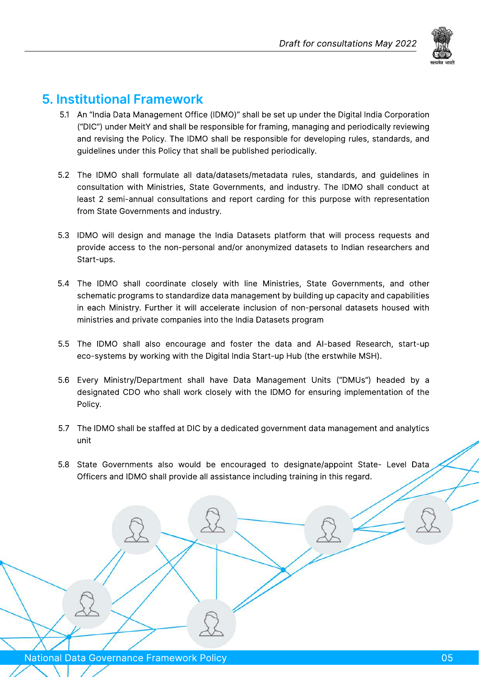

## **5. Institutional Framework 5. Institutional Framework**

- 5.1 An "India Data Management Office (IDMO)" shall be set up under the Digital India Corporation 5.1 An "India Data Management Office (IDMO)" shall be set up under the Digital India Corporation<br>DIC") under MeitY and shall be responsible for framing, managing and periodically reviewing)) and revising the Policy. The IDMO shall be responsible for developing rules, standards, and and revising the Policy. The IDMO shall be responsible for developing rules, standards, and guidelines under this Policy that shall be published periodically. guidelines under this Policy that shall be published periodically.
- The IDMO shall formulate all data/datasets/metadata rules, standards, and guidelines in 5.2 5.2 The IDMO shall formulate all data/datasets/metadata rules, standards, and guidelines in consultation with Ministries, State Governments, and industry. The IDMO shall conduct at least 2 semi-annual consultations and report carding for this purpose with representation from State Governments and industry. consultation with Ministries, State Governments, and industry. The IDMO shall conduct at<br>least 2 semi-annual consultations and report carding for this purpose with representation<br>from State Governments and industry.
- IDMO will design and manage the India Datasets platform that will process requests and 5.3 5.3 IDMO will design and manage the India Datasets platform that will process requests and provide access to the non-personal and/or anonymized datasets to Indian researchers and provide access to the non-personal and/or anonymized datasets to Indian researchers and Start-ups. Start-ups.
- The IDMO shall coordinate closely with line Ministries, State Governments, and other 5.4 5.4 The IDMO shall coordinate closely with line Ministries, State Governments, and other schematic programs to standardize data management by building up capacity and capabilities in each Ministry. Further it will accelerate inclusion of non-personal datasets housed with ministries and private companies into the India Datasets program schematic programs to standardize data management by building up capacity and capabilities<br>in each Ministry. Further it will accelerate inclusion of non-personal datasets housed with<br>ministries and private companies into t
- 5.5 The IDMO shall also encourage and foster the data and Al-based Research, start-up<br>eco-systems by working with the Digital India Start-up Hub (the erstwhile MSH). eco-systems by working with the Digital India Start-up Hub (the erstwhile MSH).
- Every Ministry/Department shall have Data Management Units ("DMUs") headed by a 5.6 5.6 Every Ministry/Department shall have Data Management Units ("DMUs") headed by a designated CDO who shall work closely with the IDMO for ensuring implementation of the<br>Policy. Policy.
- The IDMO shall be staffed at DIC by a dedicated government data management and analytics 5.7 5.7 The IDMO shall be staffed at DIC by a dedicated government data management and analytics unit unit
- State Governments also would be encouraged to designate/appoint State- Level Data 5.8 5.8 State Governments also would be encouraged to designate/appoint State-Officers and IDMO shall provide all assistance including training in this regard. Officers and IDMO shall provide all assistance including training in this regard.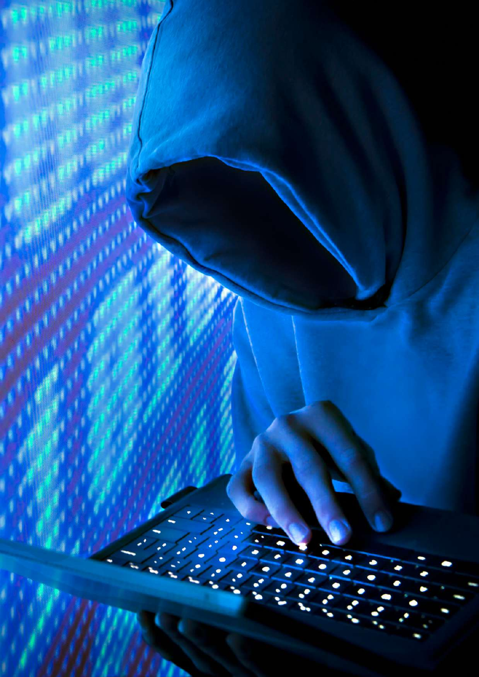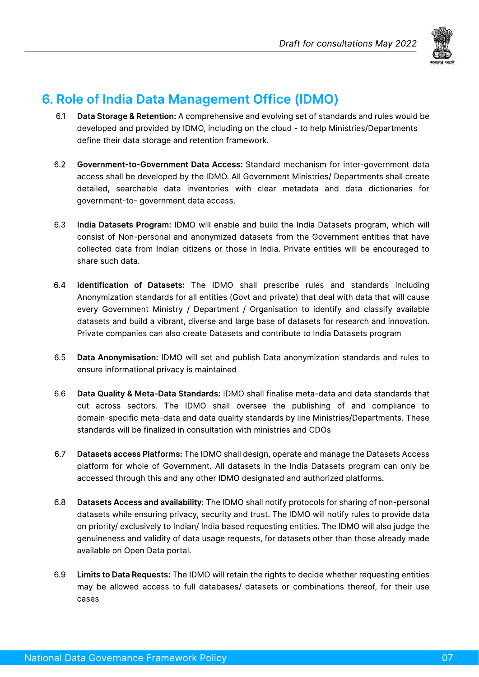

# **6. Role of India Data Management Office (IDMO) 6. Role of India Data Management Office (IDMO)**

- **Data Storage & Retention:** A comprehensive and evolving set of standards and rules would be 6.1 Data Storage & Retention: A comprehensive and evolving set of standards and rules would be developed and provided by IDMO, including on the cloud - to help Ministries/Departments developed and provided by IDMO, including on the cloud - to help Ministries/Departments define their data storage and retention framework. define their data storage and retention framework. 6.1
- **Government-to-Government Data Access:** Standard mechanism for inter-government data access shall be developed by the IDMO. All Government Ministries/ Departments shall create detailed, searchable data inventories with clear metadata and data dictionaries for government-to- government data access. 6.2 6.2 Government-to-Government Data Access: Standard mechanism for inter-government data access shall be developed by the IDMO. All Government Ministries/ Departments shall create detailed, searchable data inventories with c
- **India Datasets Program:** IDMO will enable and build the India Datasets program, which will consist of Non-personal and anonymized datasets from the Government entities that have collected data from Indian citizens or those in India. Private entities will be encouraged to share such data. 6.3 6.3 India Datasets Program: IDMO will enable and build the India Datasets program, which will consist of Non-personal and anonymized datasets from the Government entities that have collected data from Indian citizens or th
- **Identification of Datasets:** The IDMO shall prescribe rules and standards including Anonymization standards for all entities (Govt and private) that deal with data that will cause every Government Ministry / Department / Organisation to identify and classify available datasets and build a vibrant, diverse and large base of datasets for research and innovation. Private companies can also create Datasets and contribute to India Datasets program 6.4 6.4 **Identification of Datasets:** The IDMO shall prescribe rules and standards including Anonymization standards for all entities (Govt and private) that deal with data that will cause every Government Ministry / Departmen
- 6.5 **Data Anonymisation:** IDMO will set and publish Data anonymization standards and rules to<br>ensure informational privacy is maintained ensure informational privacy is maintained 6.5
- **Data Quality & Meta-Data Standards:** IDMO shall finalise meta-data and data standards that 6.6 Data Quality & Meta-Data Standards: IDMO shall finalise meta-data and data standards that cut across sectors. The IDMO shall oversee the publishing of and compliance to domain-specific meta-data and data quality standards by line Ministries/Departments. These standards will be finalized in consultation with ministries and CDOs 6.6 cut across sectors. The IDMO shall oversee the publishing of and compliance to<br>domain-specific meta-data and data quality standards by line Ministries/Departments. These<br>standards will be finalized in consultat
- **Datasets access Platforms:** The IDMO shall design, operate and manage the Datasets Access 6.7 **Datasets access Platforms:** The IDMO shall design, operate and manage the Datasets Access<br>platform for whole of Government. All datasets in the India Datasets program can only be accessed through this and any other IDMO designated and authorized platforms. accessed through this and any other IDMO designated and authorized platforms. 6.7
- **Datasets Access and availability**: The IDMO shall notify protocols for sharing of non-personal datasets while ensuring privacy, security and trust. The IDMO will notify rules to provide data on priority/ exclusively to Indian/ India based requesting entities. The IDMO will also judge the genuineness and validity of data usage requests, for datasets other than those already made available on Open Data portal. available on Open Data portal. 6.8 6.8 **Datasets Access and availability**: The IDMO shall notify protocols for sharing of non-personal datasets while ensuring privacy, security and trust. The IDMO will notify rules to provide data on priority/ exclusively t
- **Limits to Data Requests:** The IDMO will retain the rights to decide whether requesting entities may be allowed access to full databases/ datasets or combinations thereof, for their use cases 6.9 6.9 Limits to Data Requests: The IDMO will retain the rights to decide whether requesting entities may be allowed access to full databases/ datasets or combinations thereof, for their use cases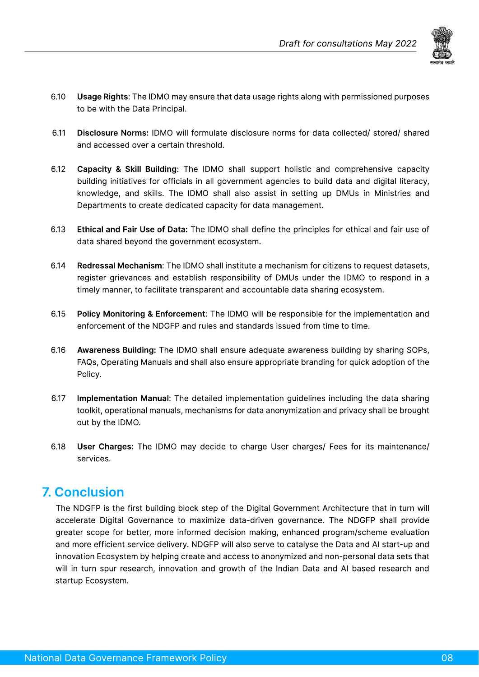

- 6.10 **Usage Rights**: The IDMO may ensure that data usage rights along with permissioned purposes<br>to be with the Data Principal. to be with the Data Principal. 6.10
- 6.11 **Disclosure Norms:** IDMO will formulate disclosure norms for data collected/ stored/ shared<br>and accessed over a certain threshold. and accessed over a certain threshold. 6.11
- **Capacity & Skill Building**: The IDMO shall support holistic and comprehensive capacity building initiatives for officials in all government agencies to build data and digital literacy, knowledge, and skills. The IDMO shall also assist in setting up DMUs in Ministries and Departments to create dedicated capacity for data management. Departments to create dedicated capacity for data management. 6.12 6.12 Capacity & Skill Building: The IDMO shall support holistic and comprehensive capacity<br>building initiatives for officials in all government agencies to build data and digital literacy,<br>knowledge, and skills. The IDMO
- **Ethical and Fair Use of Data:** The IDMO shall define the principles for ethical and fair use of 6.13 **Ethical and Fair Use of Data:** The IDMO shall define the principles for ethical and fair use of data shared beyond the government ecosystem. data shared beyond the government ecosystem. 6.13
- **Redressal Mechanism**: The IDMO shall institute a mechanism for citizens to request datasets, ,6.14 **Redressal Mechanism**: The IDMO shall institute a mechanism for citizens to request datasets<br>register grievances and establish responsibility of DMUs under the IDMO to respond in a timely manner, to facilitate transparent and accountable data sharing ecosystem. timely manner, to facilitate transparent and accountable data sharing ecosystem. 6.14
- **Policy Monitoring & Enforcement**: The IDMO will be responsible for the implementation and 6.15 **Policy Monitoring & Enforcement:** The IDMO will be responsible for the implementation and enforcement of the NDGFP and rules and standards issued from time to time. enforcement of the NDGFP and rules and standards issued from time to time. 6.15
- **Awareness Building:** The IDMO shall ensure adequate awareness building by sharing SOPs, 6.16 **Awareness Building:** The IDMO shall ensure adequate awareness building by sharing SOPs, FAQs, Operating Manuals and shall also ensure appropriate branding for quick adoption of the FAQs, Operating Manuals and shall also ensure appropriate branding for quick adoption of the Policy. Policy. 6.16
- **Implementation Manual**: The detailed implementation guidelines including the data sharing 6.17 **Implementation Manual**: The detailed implementation guidelines including the data sharing<br>toolkit, operational manuals, mechanisms for data anonymization and privacy shall be brought out by the IDMO. out by the IDMO. 6.17
- **User Charges:** The IDMO may decide to charge User charges/ Fees for its maintenance/ 6.18 **User Charges:** The IDMO may decide to charge User charges/ Fees for its maintenance/ services. services. 6.18

#### **7. Conclusion 7. Conclusion**

The NDGFP is the first building block step of the Digital Government Architecture that in turn will accelerate Digital Governance to maximize data-driven governance. The NDGFP shall provide greater scope for better, more informed decision making, enhanced program/scheme evaluation and more efficient service delivery. NDGFP will also serve to catalyse the Data and AI start-up and innovation Ecosystem by helping create and access to anonymized and non-personal data sets that innovation Ecosystem by helping create and access to anonymized and non-personal data sets that will in turn spur research, innovation and growth of the Indian Data and AI based research and will in turn spur research, innovation and growth of the Indian Data and Al based research and startup Ecosystem. startup Ecosystem. The NDGFP is the first building block step of the Digital Government Architecture that in turn will<br>accelerate Digital Governance to maximize data-driven governance. The NDGFP shall provide<br>greater scope for better, more i